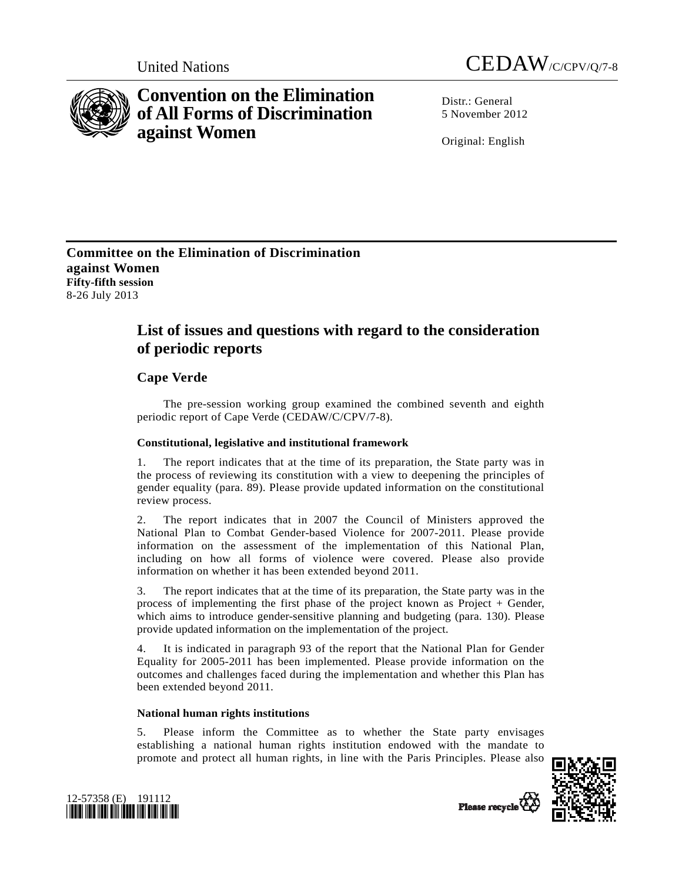

# **Convention on the Elimination of All Forms of Discrimination against Women**



 $Distr: General$ 5 November 2012

Original: English

# **Committee on the Elimination of Discrimination against Women Fifty-fifth session**  8-26 July 2013

# **List of issues and questions with regard to the consideration of periodic reports**

# **Cape Verde**

 The pre-session working group examined the combined seventh and eighth periodic report of Cape Verde (CEDAW/C/CPV/7-8).

## **Constitutional, legislative and institutional framework**

1. The report indicates that at the time of its preparation, the State party was in the process of reviewing its constitution with a view to deepening the principles of gender equality (para. 89). Please provide updated information on the constitutional review process.

2. The report indicates that in 2007 the Council of Ministers approved the National Plan to Combat Gender-based Violence for 2007-2011. Please provide information on the assessment of the implementation of this National Plan, including on how all forms of violence were covered. Please also provide information on whether it has been extended beyond 2011.

3. The report indicates that at the time of its preparation, the State party was in the process of implementing the first phase of the project known as Project + Gender, which aims to introduce gender-sensitive planning and budgeting (para. 130). Please provide updated information on the implementation of the project.

4. It is indicated in paragraph 93 of the report that the National Plan for Gender Equality for 2005-2011 has been implemented. Please provide information on the outcomes and challenges faced during the implementation and whether this Plan has been extended beyond 2011.

## **National human rights institutions**

5. Please inform the Committee as to whether the State party envisages establishing a national human rights institution endowed with the mandate to promote and protect all human rights, in line with the Paris Principles. Please also



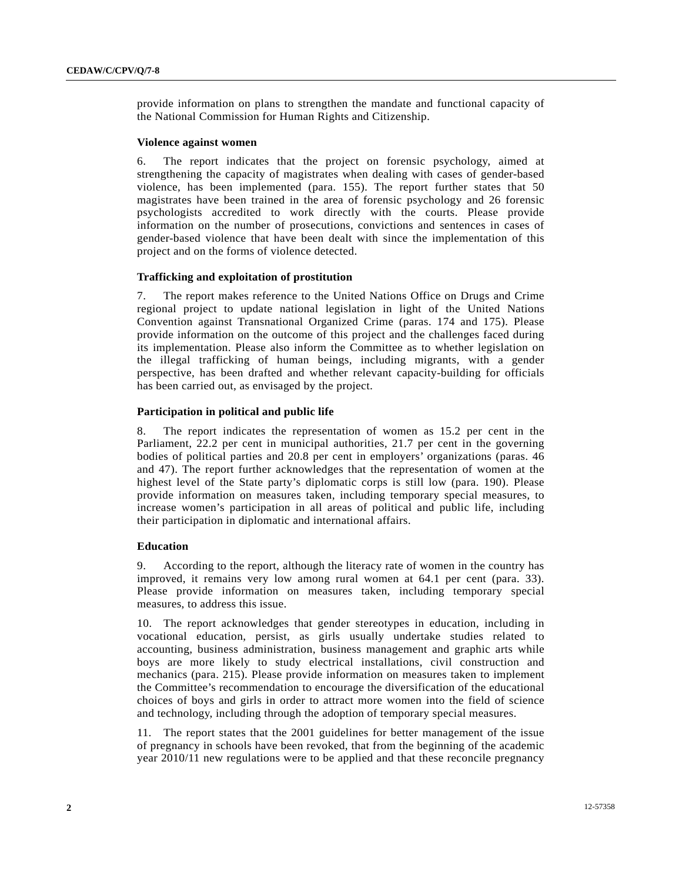provide information on plans to strengthen the mandate and functional capacity of the National Commission for Human Rights and Citizenship.

#### **Violence against women**

6. The report indicates that the project on forensic psychology, aimed at strengthening the capacity of magistrates when dealing with cases of gender-based violence, has been implemented (para. 155). The report further states that 50 magistrates have been trained in the area of forensic psychology and 26 forensic psychologists accredited to work directly with the courts. Please provide information on the number of prosecutions, convictions and sentences in cases of gender-based violence that have been dealt with since the implementation of this project and on the forms of violence detected.

## **Trafficking and exploitation of prostitution**

7. The report makes reference to the United Nations Office on Drugs and Crime regional project to update national legislation in light of the United Nations Convention against Transnational Organized Crime (paras. 174 and 175). Please provide information on the outcome of this project and the challenges faced during its implementation. Please also inform the Committee as to whether legislation on the illegal trafficking of human beings, including migrants, with a gender perspective, has been drafted and whether relevant capacity-building for officials has been carried out, as envisaged by the project.

## **Participation in political and public life**

8. The report indicates the representation of women as 15.2 per cent in the Parliament, 22.2 per cent in municipal authorities, 21.7 per cent in the governing bodies of political parties and 20.8 per cent in employers' organizations (paras. 46 and 47). The report further acknowledges that the representation of women at the highest level of the State party's diplomatic corps is still low (para. 190). Please provide information on measures taken, including temporary special measures, to increase women's participation in all areas of political and public life, including their participation in diplomatic and international affairs.

#### **Education**

9. According to the report, although the literacy rate of women in the country has improved, it remains very low among rural women at 64.1 per cent (para. 33). Please provide information on measures taken, including temporary special measures, to address this issue.

10. The report acknowledges that gender stereotypes in education, including in vocational education, persist, as girls usually undertake studies related to accounting, business administration, business management and graphic arts while boys are more likely to study electrical installations, civil construction and mechanics (para. 215). Please provide information on measures taken to implement the Committee's recommendation to encourage the diversification of the educational choices of boys and girls in order to attract more women into the field of science and technology, including through the adoption of temporary special measures.

11. The report states that the 2001 guidelines for better management of the issue of pregnancy in schools have been revoked, that from the beginning of the academic year 2010/11 new regulations were to be applied and that these reconcile pregnancy